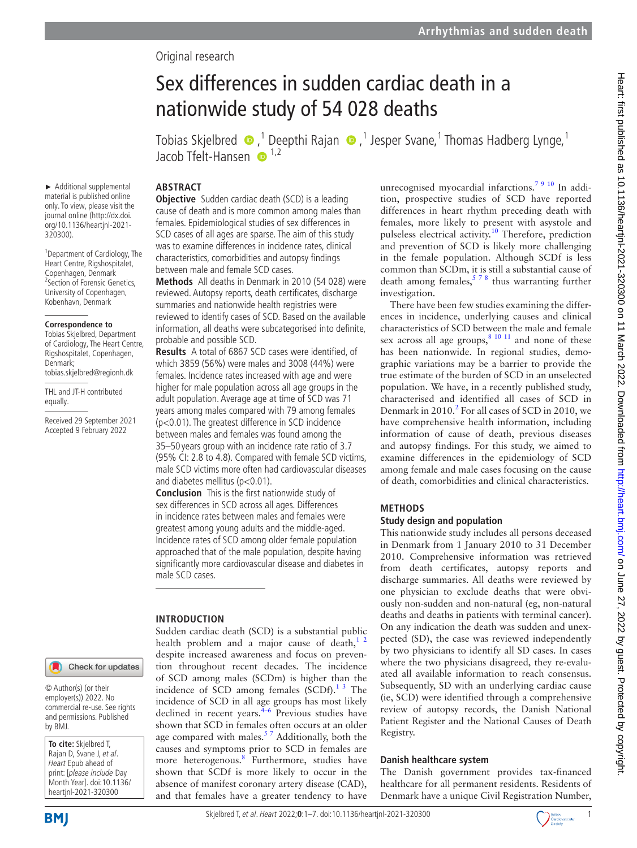# Original research

# Sex differences in sudden cardiac death in a nationwide study of 54 028 deaths

TobiasSkjelbred  $\bigcirc$ ,<sup>1</sup> Deepthi Rajan  $\bigcirc$ ,<sup>1</sup> Jesper Svane,<sup>1</sup> Thomas Hadberg Lynge,<sup>1</sup> Jacob Tfelt-Hansen  $\bullet$ <sup>1,2</sup>

#### **ABSTRACT**

► Additional supplemental material is published online only. To view, please visit the journal online ([http://dx.doi.](http://dx.doi.org/10.1136/heartjnl-2021-320300) [org/10.1136/heartjnl-2021-](http://dx.doi.org/10.1136/heartjnl-2021-320300) [320300](http://dx.doi.org/10.1136/heartjnl-2021-320300)).

<sup>1</sup> Department of Cardiology, The Heart Centre, Rigshospitalet, Copenhagen, Denmark 2 Section of Forensic Genetics, University of Copenhagen, Kobenhavn, Denmark

#### **Correspondence to**

Tobias Skjelbred, Department of Cardiology, The Heart Centre, Rigshospitalet, Copenhagen, Denmark; tobias.skjelbred@regionh.dk

THL and JT-H contributed equally.

Received 29 September 2021 Accepted 9 February 2022

## Check for updates

© Author(s) (or their employer(s)) 2022. No commercial re-use. See rights and permissions. Published by BMJ.

**To cite:** Skjelbred T, Rajan D, Svane J, et al. Heart Epub ahead of print: [please include Day Month Year]. doi:10.1136/ heartjnl-2021-320300

**Objective** Sudden cardiac death (SCD) is a leading cause of death and is more common among males than females. Epidemiological studies of sex differences in SCD cases of all ages are sparse. The aim of this study was to examine differences in incidence rates, clinical characteristics, comorbidities and autopsy findings between male and female SCD cases.

**Methods** All deaths in Denmark in 2010 (54 028) were reviewed. Autopsy reports, death certificates, discharge summaries and nationwide health registries were reviewed to identify cases of SCD. Based on the available information, all deaths were subcategorised into definite, probable and possible SCD.

**Results** A total of 6867 SCD cases were identified, of which 3859 (56%) were males and 3008 (44%) were females. Incidence rates increased with age and were higher for male population across all age groups in the adult population. Average age at time of SCD was 71 years among males compared with 79 among females (p<0.01). The greatest difference in SCD incidence between males and females was found among the 35–50 years group with an incidence rate ratio of 3.7 (95% CI: 2.8 to 4.8). Compared with female SCD victims, male SCD victims more often had cardiovascular diseases and diabetes mellitus (p<0.01).

**Conclusion** This is the first nationwide study of sex differences in SCD across all ages. Differences in incidence rates between males and females were greatest among young adults and the middle-aged. Incidence rates of SCD among older female population approached that of the male population, despite having significantly more cardiovascular disease and diabetes in male SCD cases.

## **INTRODUCTION**

Sudden cardiac death (SCD) is a substantial public health problem and a major cause of death,<sup>12</sup> despite increased awareness and focus on prevention throughout recent decades. The incidence of SCD among males (SCDm) is higher than the incidence of SCD among females  $(SCDf).<sup>13</sup>$  The incidence of SCD in all age groups has most likely declined in recent years. $4-6$  Previous studies have shown that SCD in females often occurs at an older age compared with males. $57$  Additionally, both the causes and symptoms prior to SCD in females are more heterogenous.<sup>[8](#page-6-3)</sup> Furthermore, studies have shown that SCDf is more likely to occur in the absence of manifest coronary artery disease (CAD), and that females have a greater tendency to have

unrecognised myocardial infarctions.<sup>[7 9 10](#page-6-4)</sup> In addition, prospective studies of SCD have reported differences in heart rhythm preceding death with females, more likely to present with asystole and pulseless electrical activity[.10](#page-6-5) Therefore, prediction and prevention of SCD is likely more challenging in the female population. Although SCDf is less common than SCDm, it is still a substantial cause of death among females,  $578$  thus warranting further investigation.

There have been few studies examining the differences in incidence, underlying causes and clinical characteristics of SCD between the male and female sex across all age groups,<sup>8 10 11</sup> and none of these has been nationwide. In regional studies, demographic variations may be a barrier to provide the true estimate of the burden of SCD in an unselected population. We have, in a recently published study, characterised and identified all cases of SCD in Denmark in [2](#page-6-6)010.<sup>2</sup> For all cases of SCD in 2010, we have comprehensive health information, including information of cause of death, previous diseases and autopsy findings. For this study, we aimed to examine differences in the epidemiology of SCD among female and male cases focusing on the cause of death, comorbidities and clinical characteristics.

## **METHODS**

#### **Study design and population**

This nationwide study includes all persons deceased in Denmark from 1 January 2010 to 31 December 2010. Comprehensive information was retrieved from death certificates, autopsy reports and discharge summaries. All deaths were reviewed by one physician to exclude deaths that were obviously non-sudden and non-natural (eg, non-natural deaths and deaths in patients with terminal cancer). On any indication the death was sudden and unexpected (SD), the case was reviewed independently by two physicians to identify all SD cases. In cases where the two physicians disagreed, they re-evaluated all available information to reach consensus. Subsequently, SD with an underlying cardiac cause (ie, SCD) were identified through a comprehensive review of autopsy records, the Danish National Patient Register and the National Causes of Death Registry.

## **Danish healthcare system**

The Danish government provides tax-financed healthcare for all permanent residents. Residents of Denmark have a unique Civil Registration Number,



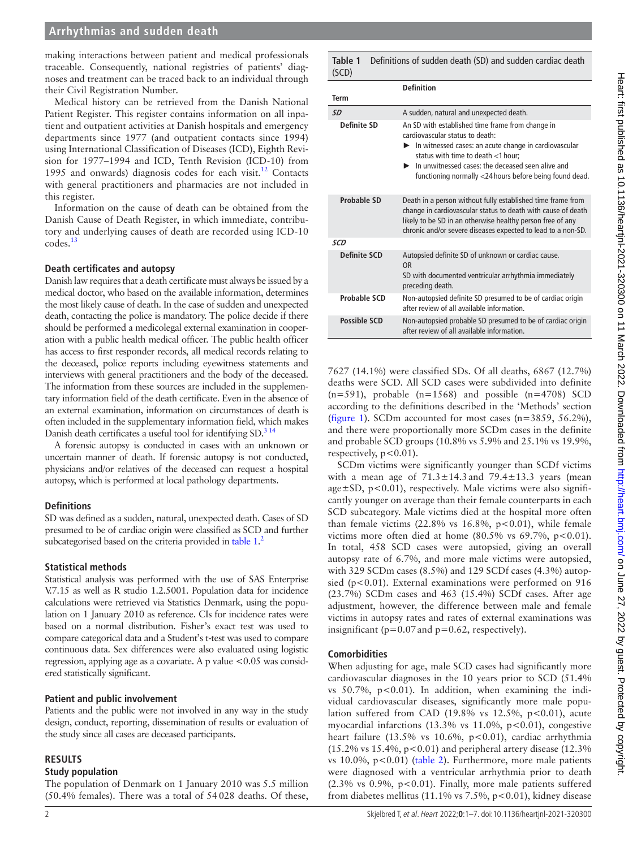## **Arrhythmias and sudden death**

making interactions between patient and medical professionals traceable. Consequently, national registries of patients' diagnoses and treatment can be traced back to an individual through their Civil Registration Number.

Medical history can be retrieved from the Danish National Patient Register. This register contains information on all inpatient and outpatient activities at Danish hospitals and emergency departments since 1977 (and outpatient contacts since 1994) using International Classification of Diseases (ICD), Eighth Revision for 1977–1994 and ICD, Tenth Revision (ICD-10) from 1995 and onwards) diagnosis codes for each visit.<sup>12</sup> Contacts with general practitioners and pharmacies are not included in this register.

Information on the cause of death can be obtained from the Danish Cause of Death Register, in which immediate, contributory and underlying causes of death are recorded using ICD-10 codes.[13](#page-6-8)

#### **Death certificates and autopsy**

Danish law requires that a death certificate must always be issued by a medical doctor, who based on the available information, determines the most likely cause of death. In the case of sudden and unexpected death, contacting the police is mandatory. The police decide if there should be performed a medicolegal external examination in cooperation with a public health medical officer. The public health officer has access to first responder records, all medical records relating to the deceased, police reports including eyewitness statements and interviews with general practitioners and the body of the deceased. The information from these sources are included in the supplementary information field of the death certificate. Even in the absence of an external examination, information on circumstances of death is often included in the supplementary information field, which makes Danish death certificates a useful tool for identifying SD.<sup>314</sup>

A forensic autopsy is conducted in cases with an unknown or uncertain manner of death. If forensic autopsy is not conducted, physicians and/or relatives of the deceased can request a hospital autopsy, which is performed at local pathology departments.

#### **Definitions**

SD was defined as a sudden, natural, unexpected death. Cases of SD presumed to be of cardiac origin were classified as SCD and further subcategorised based on the criteria provided in [table](#page-1-0) 1.<sup>[2](#page-6-6)</sup>

#### **Statistical methods**

Statistical analysis was performed with the use of SAS Enterprise V.7.15 as well as R studio 1.2.5001. Population data for incidence calculations were retrieved via Statistics Denmark, using the population on 1 January 2010 as reference. CIs for incidence rates were based on a normal distribution. Fisher's exact test was used to compare categorical data and a Student's t-test was used to compare continuous data. Sex differences were also evaluated using logistic regression, applying age as a covariate. A p value <0.05 was considered statistically significant.

#### **Patient and public involvement**

Patients and the public were not involved in any way in the study design, conduct, reporting, dissemination of results or evaluation of the study since all cases are deceased participants.

#### **RESULTS**

#### **Study population**

The population of Denmark on 1 January 2010 was 5.5 million (50.4% females). There was a total of 54028 deaths. Of these,

<span id="page-1-0"></span>**Table 1** Definitions of sudden death (SD) and sudden cardiac death  $(C \cap D)$ 

|                     | <b>Definition</b>                                                                                                                                                                                                                                                                                                                              |
|---------------------|------------------------------------------------------------------------------------------------------------------------------------------------------------------------------------------------------------------------------------------------------------------------------------------------------------------------------------------------|
| Term                |                                                                                                                                                                                                                                                                                                                                                |
| SD                  | A sudden, natural and unexpected death.                                                                                                                                                                                                                                                                                                        |
| Definite SD         | An SD with established time frame from change in<br>cardiovascular status to death:<br>$\blacktriangleright$ In witnessed cases: an acute change in cardiovascular<br>status with time to death <1 hour;<br>$\blacktriangleright$ In unwitnessed cases: the deceased seen alive and<br>functioning normally <24 hours before being found dead. |
| <b>Probable SD</b>  | Death in a person without fully established time frame from<br>change in cardiovascular status to death with cause of death<br>likely to be SD in an otherwise healthy person free of any<br>chronic and/or severe diseases expected to lead to a non-SD.                                                                                      |
| SCD                 |                                                                                                                                                                                                                                                                                                                                                |
| <b>Definite SCD</b> | Autopsied definite SD of unknown or cardiac cause.<br>0 <sub>R</sub><br>SD with documented ventricular arrhythmia immediately<br>preceding death.                                                                                                                                                                                              |
| Probable SCD        | Non-autopsied definite SD presumed to be of cardiac origin<br>after review of all available information.                                                                                                                                                                                                                                       |
| <b>Possible SCD</b> | Non-autopsied probable SD presumed to be of cardiac origin<br>after review of all available information.                                                                                                                                                                                                                                       |

7627 (14.1%) were classified SDs. Of all deaths, 6867 (12.7%) deaths were SCD. All SCD cases were subdivided into definite  $(n=591)$ , probable  $(n=1568)$  and possible  $(n=4708)$  SCD according to the definitions described in the 'Methods' section ([figure](#page-2-0) 1). SCDm accounted for most cases  $(n=3859, 56.2\%)$ , and there were proportionally more SCDm cases in the definite and probable SCD groups (10.8% vs 5.9% and 25.1% vs 19.9%, respectively, p<0.01).

SCDm victims were significantly younger than SCDf victims with a mean age of  $71.3 \pm 14.3$  and  $79.4 \pm 13.3$  years (mean age $\pm$ SD, p<0.01), respectively. Male victims were also significantly younger on average than their female counterparts in each SCD subcategory. Male victims died at the hospital more often than female victims  $(22.8\% \text{ vs } 16.8\%, \text{ p} < 0.01)$ , while female victims more often died at home  $(80.5\% \text{ vs } 69.7\%, \text{ p} < 0.01).$ In total, 458 SCD cases were autopsied, giving an overall autopsy rate of 6.7%, and more male victims were autopsied, with 329 SCDm cases (8.5%) and 129 SCDf cases (4.3%) autopsied (p<0.01). External examinations were performed on 916 (23.7%) SCDm cases and 463 (15.4%) SCDf cases. After age adjustment, however, the difference between male and female victims in autopsy rates and rates of external examinations was insignificant ( $p=0.07$  and  $p=0.62$ , respectively).

#### **Comorbidities**

When adjusting for age, male SCD cases had significantly more cardiovascular diagnoses in the 10 years prior to SCD (51.4% vs  $50.7\%$ ,  $p < 0.01$ ). In addition, when examining the individual cardiovascular diseases, significantly more male population suffered from CAD (19.8% vs 12.5%,  $p < 0.01$ ), acute myocardial infarctions  $(13.3\% \text{ vs } 11.0\%, \text{ p} < 0.01)$ , congestive heart failure  $(13.5\% \text{ vs } 10.6\%, \text{ p} < 0.01)$ , cardiac arrhythmia  $(15.2\% \text{ vs } 15.4\%, \text{ p} < 0.01)$  and peripheral artery disease  $(12.3\% \text{ or } 11.5\%)$ vs  $10.0\%$ ,  $p<0.01$ ) [\(table](#page-3-0) 2). Furthermore, more male patients were diagnosed with a ventricular arrhythmia prior to death (2.3% vs  $0.9\%$ ,  $p<0.01$ ). Finally, more male patients suffered from diabetes mellitus (11.1% vs 7.5%, p<0.01), kidney disease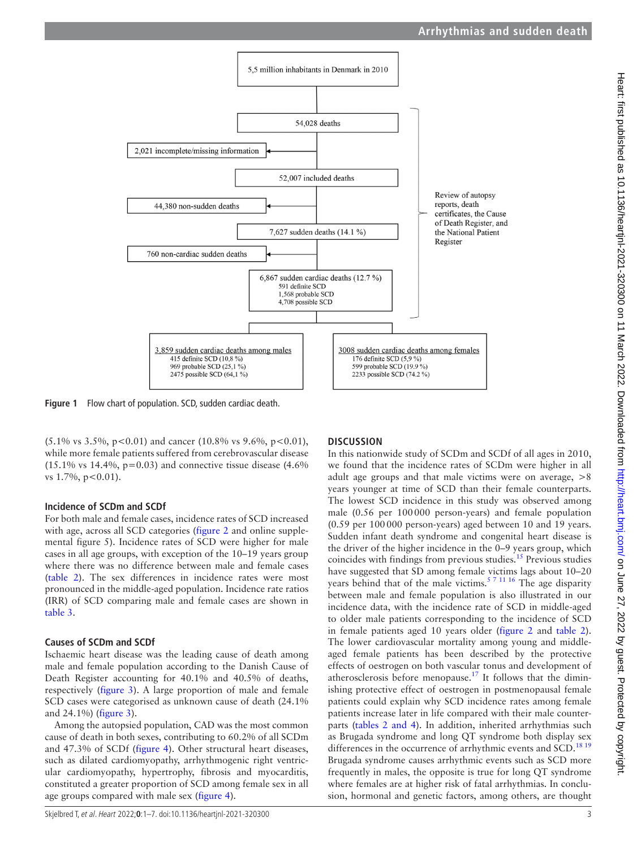

**Figure 1** Flow chart of population. SCD, sudden cardiac death.

 $(5.1\% \text{ vs } 3.5\%, \text{ p} < 0.01)$  and cancer (10.8% vs 9.6%, p < 0.01), while more female patients suffered from cerebrovascular disease  $(15.1\% \text{ vs } 14.4\%, \text{ p}=0.03)$  and connective tissue disease  $(4.6\%$ vs  $1.7\%$ ,  $p < 0.01$ ).

#### **Incidence of SCDm and SCDf**

For both male and female cases, incidence rates of SCD increased with age, across all SCD categories [\(figure](#page-3-1) 2 and [online supple](https://dx.doi.org/10.1136/heartjnl-2021-320300)[mental figure 5](https://dx.doi.org/10.1136/heartjnl-2021-320300)). Incidence rates of SCD were higher for male cases in all age groups, with exception of the 10–19 years group where there was no difference between male and female cases ([table](#page-3-0) 2). The sex differences in incidence rates were most pronounced in the middle-aged population. Incidence rate ratios (IRR) of SCD comparing male and female cases are shown in [table](#page-4-0) 3.

#### **Causes of SCDm and SCDf**

Ischaemic heart disease was the leading cause of death among male and female population according to the Danish Cause of Death Register accounting for 40.1% and 40.5% of deaths, respectively ([figure](#page-4-1) 3). A large proportion of male and female SCD cases were categorised as unknown cause of death (24.1% and 24.1%) ([figure](#page-4-1) 3).

Among the autopsied population, CAD was the most common cause of death in both sexes, contributing to 60.2% of all SCDm and 47.3% of SCDf ([figure](#page-4-2) 4). Other structural heart diseases, such as dilated cardiomyopathy, arrhythmogenic right ventricular cardiomyopathy, hypertrophy, fibrosis and myocarditis, constituted a greater proportion of SCD among female sex in all age groups compared with male sex [\(figure](#page-4-2) 4).

#### <span id="page-2-0"></span>**DISCUSSION**

In this nationwide study of SCDm and SCDf of all ages in 2010, we found that the incidence rates of SCDm were higher in all adult age groups and that male victims were on average, >8 years younger at time of SCD than their female counterparts. The lowest SCD incidence in this study was observed among male (0.56 per 100000 person-years) and female population (0.59 per 100000 person-years) aged between 10 and 19 years. Sudden infant death syndrome and congenital heart disease is the driver of the higher incidence in the 0–9 years group, which coincides with findings from previous studies.[15](#page-6-10) Previous studies have suggested that SD among female victims lags about 10–20 years behind that of the male victims.<sup>[5 7 11 16](#page-6-2)</sup> The age disparity between male and female population is also illustrated in our incidence data, with the incidence rate of SCD in middle-aged to older male patients corresponding to the incidence of SCD in female patients aged 10 years older [\(figure](#page-3-1) 2 and [table](#page-3-0) 2). The lower cardiovascular mortality among young and middleaged female patients has been described by the protective effects of oestrogen on both vascular tonus and development of atherosclerosis before menopause[.17](#page-6-11) It follows that the diminishing protective effect of oestrogen in postmenopausal female patients could explain why SCD incidence rates among female patients increase later in life compared with their male counterparts (tables [2 and 4](#page-3-0)). In addition, inherited arrhythmias such as Brugada syndrome and long QT syndrome both display sex differences in the occurrence of arrhythmic events and SCD.<sup>18 19</sup> Brugada syndrome causes arrhythmic events such as SCD more frequently in males, the opposite is true for long QT syndrome where females are at higher risk of fatal arrhythmias. In conclusion, hormonal and genetic factors, among others, are thought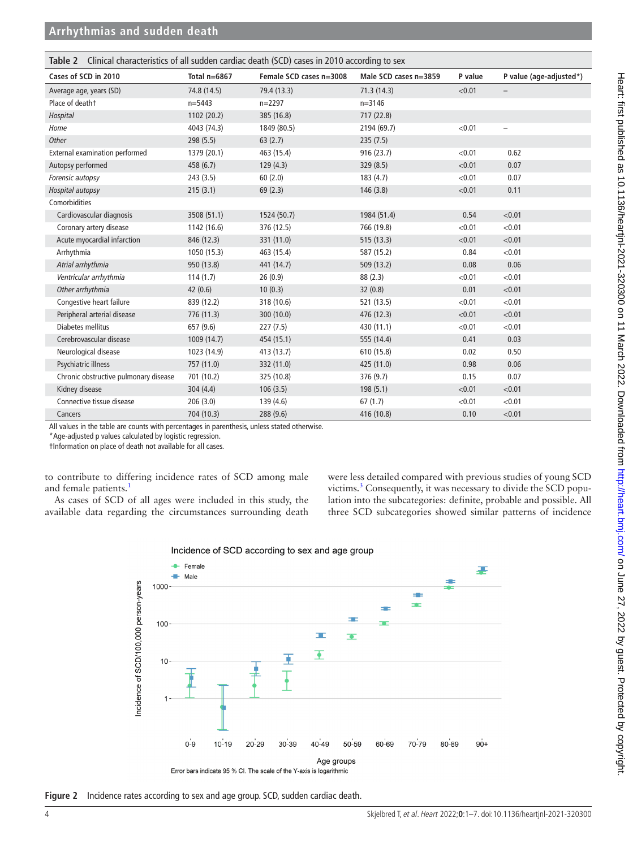<span id="page-3-0"></span>

| <b>Table 2</b> Clinical characteristics of all sudden cardiac death (SCD) cases in 2010 according to sex |                |                         |                       |         |                          |
|----------------------------------------------------------------------------------------------------------|----------------|-------------------------|-----------------------|---------|--------------------------|
| Cases of SCD in 2010                                                                                     | Total $n=6867$ | Female SCD cases n=3008 | Male SCD cases n=3859 | P value | P value (age-adjusted*)  |
| Average age, years (SD)                                                                                  | 74.8 (14.5)    | 79.4 (13.3)             | 71.3(14.3)            | < 0.01  |                          |
| Place of deatht                                                                                          | $n = 5443$     | $n = 2297$              | $n = 3146$            |         |                          |
| Hospital                                                                                                 | 1102 (20.2)    | 385 (16.8)              | 717 (22.8)            |         |                          |
| Home                                                                                                     | 4043 (74.3)    | 1849 (80.5)             | 2194 (69.7)           | < 0.01  | $\overline{\phantom{0}}$ |
| Other                                                                                                    | 298 (5.5)      | 63(2.7)                 | 235(7.5)              |         |                          |
| <b>External examination performed</b>                                                                    | 1379 (20.1)    | 463 (15.4)              | 916 (23.7)            | < 0.01  | 0.62                     |
| Autopsy performed                                                                                        | 458(6.7)       | 129(4.3)                | 329 (8.5)             | < 0.01  | 0.07                     |
| Forensic autopsy                                                                                         | 243(3.5)       | 60(2.0)                 | 183(4.7)              | < 0.01  | 0.07                     |
| Hospital autopsy                                                                                         | 215(3.1)       | 69(2.3)                 | 146(3.8)              | < 0.01  | 0.11                     |
| Comorbidities                                                                                            |                |                         |                       |         |                          |
| Cardiovascular diagnosis                                                                                 | 3508 (51.1)    | 1524 (50.7)             | 1984 (51.4)           | 0.54    | < 0.01                   |
| Coronary artery disease                                                                                  | 1142 (16.6)    | 376 (12.5)              | 766 (19.8)            | < 0.01  | < 0.01                   |
| Acute myocardial infarction                                                                              | 846 (12.3)     | 331 (11.0)              | 515 (13.3)            | < 0.01  | < 0.01                   |
| Arrhythmia                                                                                               | 1050 (15.3)    | 463 (15.4)              | 587 (15.2)            | 0.84    | < 0.01                   |
| Atrial arrhythmia                                                                                        | 950 (13.8)     | 441 (14.7)              | 509 (13.2)            | 0.08    | 0.06                     |
| Ventricular arrhythmia                                                                                   | 114(1.7)       | 26(0.9)                 | 88 (2.3)              | < 0.01  | < 0.01                   |
| Other arrhythmia                                                                                         | 42(0.6)        | 10(0.3)                 | 32(0.8)               | 0.01    | < 0.01                   |
| Congestive heart failure                                                                                 | 839 (12.2)     | 318 (10.6)              | 521 (13.5)            | < 0.01  | < 0.01                   |
| Peripheral arterial disease                                                                              | 776 (11.3)     | 300 (10.0)              | 476 (12.3)            | < 0.01  | < 0.01                   |
| Diabetes mellitus                                                                                        | 657 (9.6)      | 227(7.5)                | 430 (11.1)            | < 0.01  | < 0.01                   |
| Cerebrovascular disease                                                                                  | 1009(14.7)     | 454 (15.1)              | 555 (14.4)            | 0.41    | 0.03                     |
| Neurological disease                                                                                     | 1023 (14.9)    | 413 (13.7)              | 610 (15.8)            | 0.02    | 0.50                     |
| Psychiatric illness                                                                                      | 757 (11.0)     | 332 (11.0)              | 425 (11.0)            | 0.98    | 0.06                     |
| Chronic obstructive pulmonary disease                                                                    | 701 (10.2)     | 325 (10.8)              | 376 (9.7)             | 0.15    | 0.07                     |
| Kidney disease                                                                                           | 304(4.4)       | 106(3.5)                | 198(5.1)              | < 0.01  | < 0.01                   |
| Connective tissue disease                                                                                | 206(3.0)       | 139 (4.6)               | 67(1.7)               | < 0.01  | < 0.01                   |
| Cancers                                                                                                  | 704 (10.3)     | 288 (9.6)               | 416 (10.8)            | 0.10    | < 0.01                   |

All values in the table are counts with percentages in parenthesis, unless stated otherwise.

\*Age-adjusted p values calculated by logistic regression.

†Information on place of death not available for all cases.

to contribute to differing incidence rates of SCD among male and female patients.<sup>1</sup>

As cases of SCD of all ages were included in this study, the available data regarding the circumstances surrounding death were less detailed compared with previous studies of young SCD victims.<sup>3</sup> Consequently, it was necessary to divide the SCD population into the subcategories: definite, probable and possible. All three SCD subcategories showed similar patterns of incidence





<span id="page-3-1"></span>**Figure 2** Incidence rates according to sex and age group. SCD, sudden cardiac death.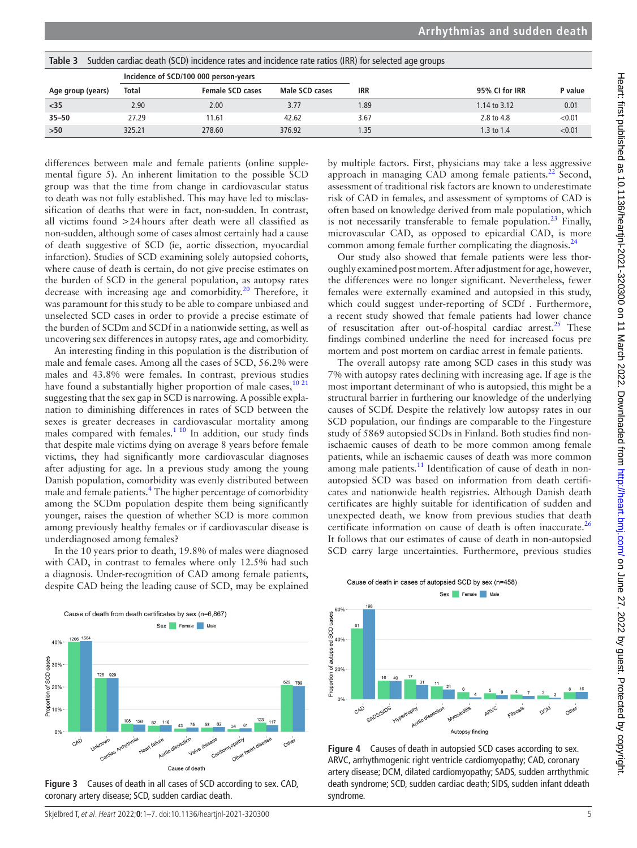| Table 3<br>Sudden cardiac death (SCD) incidence rates and incidence rate ratios (IRR) for selected age groups |                                       |                         |                |            |                |         |
|---------------------------------------------------------------------------------------------------------------|---------------------------------------|-------------------------|----------------|------------|----------------|---------|
|                                                                                                               | Incidence of SCD/100 000 person-years |                         |                |            |                |         |
| Age group (years)                                                                                             | Total                                 | <b>Female SCD cases</b> | Male SCD cases | <b>IRR</b> | 95% CI for IRR | P value |
| $<$ 35                                                                                                        | 2.90                                  | 2.00                    | 3.77           | 1.89       | 1.14 to 3.12   | 0.01    |
| $35 - 50$                                                                                                     | 27.29                                 | 11.61                   | 42.62          | 3.67       | 2.8 to 4.8     | < 0.01  |
| >50                                                                                                           | 325.21                                | 278.60                  | 376.92         | 1.35       | 1.3 to 1.4     | < 0.01  |

<span id="page-4-0"></span>**Table 3** Sudden cardiac death (SCD) incidence rates and incidence rate ratios (IRR) for selected age groups

differences between male and female patients [\(online supple](https://dx.doi.org/10.1136/heartjnl-2021-320300)[mental figure 5](https://dx.doi.org/10.1136/heartjnl-2021-320300)). An inherent limitation to the possible SCD group was that the time from change in cardiovascular status to death was not fully established. This may have led to misclassification of deaths that were in fact, non-sudden. In contrast, all victims found >24hours after death were all classified as non-sudden, although some of cases almost certainly had a cause of death suggestive of SCD (ie, aortic dissection, myocardial infarction). Studies of SCD examining solely autopsied cohorts, where cause of death is certain, do not give precise estimates on the burden of SCD in the general population, as autopsy rates decrease with increasing age and comorbidity.<sup>20</sup> Therefore, it was paramount for this study to be able to compare unbiased and unselected SCD cases in order to provide a precise estimate of the burden of SCDm and SCDf in a nationwide setting, as well as uncovering sex differences in autopsy rates, age and comorbidity.

An interesting finding in this population is the distribution of male and female cases. Among all the cases of SCD, 56.2% were males and 43.8% were females. In contrast, previous studies have found a substantially higher proportion of male cases,  $10\frac{21}{21}$ suggesting that the sex gap in SCD is narrowing. A possible explanation to diminishing differences in rates of SCD between the sexes is greater decreases in cardiovascular mortality among males compared with females. $1^{10}$  In addition, our study finds that despite male victims dying on average 8 years before female victims, they had significantly more cardiovascular diagnoses after adjusting for age. In a previous study among the young Danish population, comorbidity was evenly distributed between male and female patients.<sup>[4](#page-6-1)</sup> The higher percentage of comorbidity among the SCDm population despite them being significantly younger, raises the question of whether SCD is more common among previously healthy females or if cardiovascular disease is underdiagnosed among females?

In the 10 years prior to death, 19.8% of males were diagnosed with CAD, in contrast to females where only 12.5% had such a diagnosis. Under-recognition of CAD among female patients, despite CAD being the leading cause of SCD, may be explained



<span id="page-4-1"></span>**Figure 3** Causes of death in all cases of SCD according to sex. CAD, coronary artery disease; SCD, sudden cardiac death.

by multiple factors. First, physicians may take a less aggressive approach in managing CAD among female patients.<sup>[22](#page-6-14)</sup> Second, assessment of traditional risk factors are known to underestimate risk of CAD in females, and assessment of symptoms of CAD is often based on knowledge derived from male population, which is not necessarily transferable to female population.<sup>23</sup> Finally, microvascular CAD, as opposed to epicardial CAD, is more common among female further complicating the diagnosis.<sup>[24](#page-6-16)</sup>

Our study also showed that female patients were less thoroughly examined post mortem. After adjustment for age, however, the differences were no longer significant. Nevertheless, fewer females were externally examined and autopsied in this study, which could suggest under-reporting of SCDf . Furthermore, a recent study showed that female patients had lower chance of resuscitation after out-of-hospital cardiac arrest.<sup>25</sup> These findings combined underline the need for increased focus pre mortem and post mortem on cardiac arrest in female patients.

The overall autopsy rate among SCD cases in this study was 7% with autopsy rates declining with increasing age. If age is the most important determinant of who is autopsied, this might be a structural barrier in furthering our knowledge of the underlying causes of SCDf. Despite the relatively low autopsy rates in our SCD population, our findings are comparable to the Fingesture study of 5869 autopsied SCDs in Finland. Both studies find nonischaemic causes of death to be more common among female patients, while an ischaemic causes of death was more common among male patients.<sup>[11](#page-6-18)</sup> Identification of cause of death in nonautopsied SCD was based on information from death certificates and nationwide health registries. Although Danish death certificates are highly suitable for identification of sudden and unexpected death, we know from previous studies that death certificate information on cause of death is often inaccurate. $^{26}$  $^{26}$  $^{26}$ It follows that our estimates of cause of death in non-autopsied SCD carry large uncertainties. Furthermore, previous studies



<span id="page-4-2"></span>**Figure 4** Causes of death in autopsied SCD cases according to sex. ARVC, arrhythmogenic right ventricle cardiomyopathy; CAD, coronary artery disease; DCM, dilated cardiomyopathy; SADS, sudden arrthythmic death syndrome; SCD, sudden cardiac death; SIDS, sudden infant ddeath syndrome.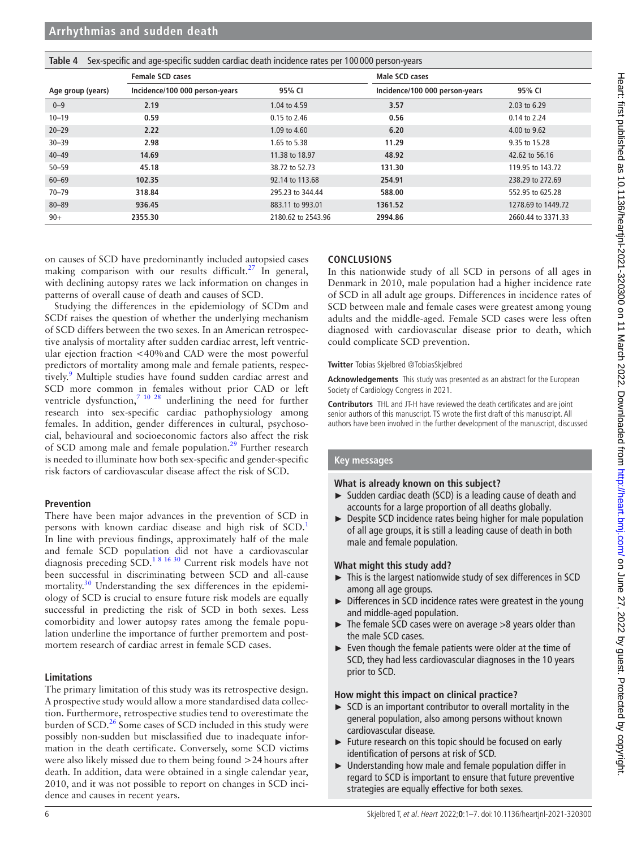| Sex-specific and age-specific sudden cardiac death incidence rates per 100000 person-years<br>Table 4 |                                |                    |                                |                    |  |
|-------------------------------------------------------------------------------------------------------|--------------------------------|--------------------|--------------------------------|--------------------|--|
|                                                                                                       | <b>Female SCD cases</b>        |                    | Male SCD cases                 |                    |  |
| Age group (years)                                                                                     | Incidence/100 000 person-years | 95% CI             | Incidence/100 000 person-years | 95% CI             |  |
| $0 - 9$                                                                                               | 2.19                           | 1.04 to 4.59       | 3.57                           | 2.03 to 6.29       |  |
| $10 - 19$                                                                                             | 0.59                           | 0.15 to 2.46       | 0.56                           | 0.14 to 2.24       |  |
| $20 - 29$                                                                                             | 2.22                           | 1.09 to 4.60       | 6.20                           | 4.00 to 9.62       |  |
| $30 - 39$                                                                                             | 2.98                           | 1.65 to 5.38       | 11.29                          | 9.35 to 15.28      |  |
| $40 - 49$                                                                                             | 14.69                          | 11.38 to 18.97     | 48.92                          | 42.62 to 56.16     |  |
| $50 - 59$                                                                                             | 45.18                          | 38.72 to 52.73     | 131.30                         | 119.95 to 143.72   |  |
| $60 - 69$                                                                                             | 102.35                         | 92.14 to 113.68    | 254.91                         | 238.29 to 272.69   |  |
| $70 - 79$                                                                                             | 318.84                         | 295.23 to 344.44   | 588.00                         | 552.95 to 625.28   |  |
| $80 - 89$                                                                                             | 936.45                         | 883.11 to 993.01   | 1361.52                        | 1278.69 to 1449.72 |  |
| $90+$                                                                                                 | 2355.30                        | 2180.62 to 2543.96 | 2994.86                        | 2660.44 to 3371.33 |  |

on causes of SCD have predominantly included autopsied cases making comparison with our results difficult.<sup>27</sup> In general, with declining autopsy rates we lack information on changes in patterns of overall cause of death and causes of SCD.

Studying the differences in the epidemiology of SCDm and SCDf raises the question of whether the underlying mechanism of SCD differs between the two sexes. In an American retrospective analysis of mortality after sudden cardiac arrest, left ventricular ejection fraction <40%and CAD were the most powerful predictors of mortality among male and female patients, respec-tively.<sup>[9](#page-6-21)</sup> Multiple studies have found sudden cardiac arrest and SCD more common in females without prior CAD or left ventricle dysfunction,<sup>7</sup><sup>10</sup><sup>28</sup> underlining the need for further research into sex-specific cardiac pathophysiology among females. In addition, gender differences in cultural, psychosocial, behavioural and socioeconomic factors also affect the risk of SCD among male and female population.<sup>29</sup> Further research is needed to illuminate how both sex-specific and gender-specific risk factors of cardiovascular disease affect the risk of SCD.

## **Prevention**

There have been major advances in the prevention of SCD in persons with known cardiac disease and high risk of SCD.<sup>1</sup> In line with previous findings, approximately half of the male and female SCD population did not have a cardiovascular diagnosis preceding SCD.<sup>18</sup> <sup>16</sup> 30 Current risk models have not been successful in discriminating between SCD and all-cause mortality.<sup>30</sup> Understanding the sex differences in the epidemiology of SCD is crucial to ensure future risk models are equally successful in predicting the risk of SCD in both sexes. Less comorbidity and lower autopsy rates among the female population underline the importance of further premortem and postmortem research of cardiac arrest in female SCD cases.

## **Limitations**

The primary limitation of this study was its retrospective design. A prospective study would allow a more standardised data collection. Furthermore, retrospective studies tend to overestimate the burden of SCD.<sup>26</sup> Some cases of SCD included in this study were possibly non-sudden but misclassified due to inadequate information in the death certificate. Conversely, some SCD victims were also likely missed due to them being found >24hours after death. In addition, data were obtained in a single calendar year, 2010, and it was not possible to report on changes in SCD incidence and causes in recent years.

## **CONCLUSIONS**

In this nationwide study of all SCD in persons of all ages in Denmark in 2010, male population had a higher incidence rate of SCD in all adult age groups. Differences in incidence rates of SCD between male and female cases were greatest among young adults and the middle-aged. Female SCD cases were less often diagnosed with cardiovascular disease prior to death, which could complicate SCD prevention.

#### **Twitter** Tobias Skjelbred [@TobiasSkjelbred](https://twitter.com/TobiasSkjelbred)

**Acknowledgements** This study was presented as an abstract for the European Society of Cardiology Congress in 2021.

**Contributors** THL and JT-H have reviewed the death certificates and are joint senior authors of this manuscript. TS wrote the first draft of this manuscript. All authors have been involved in the further development of the manuscript, discussed

## **Key messages**

## **What is already known on this subject?**

- ► Sudden cardiac death (SCD) is a leading cause of death and accounts for a large proportion of all deaths globally.
- ► Despite SCD incidence rates being higher for male population of all age groups, it is still a leading cause of death in both male and female population.

## **What might this study add?**

- ► This is the largest nationwide study of sex differences in SCD among all age groups.
- ► Differences in SCD incidence rates were greatest in the young and middle-aged population.
- The female SCD cases were on average  $>8$  years older than the male SCD cases.
- ► Even though the female patients were older at the time of SCD, they had less cardiovascular diagnoses in the 10 years prior to SCD.

## **How might this impact on clinical practice?**

- ► SCD is an important contributor to overall mortality in the general population, also among persons without known cardiovascular disease.
- ► Future research on this topic should be focused on early identification of persons at risk of SCD.
- ► Understanding how male and female population differ in regard to SCD is important to ensure that future preventive strategies are equally effective for both sexes.